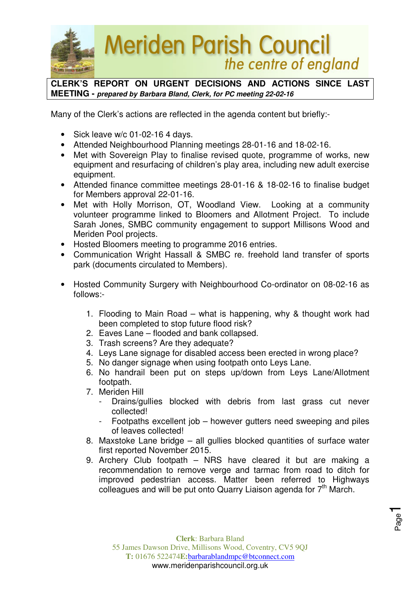

**CLERK'S REPORT ON URGENT DECISIONS AND ACTIONS SINCE LAST MEETING - prepared by Barbara Bland, Clerk, for PC meeting 22-02-16** 

Many of the Clerk's actions are reflected in the agenda content but briefly:-

- Sick leave w/c 01-02-16 4 days.
- Attended Neighbourhood Planning meetings 28-01-16 and 18-02-16.
- Met with Sovereign Play to finalise revised quote, programme of works, new equipment and resurfacing of children's play area, including new adult exercise equipment.
- Attended finance committee meetings 28-01-16 & 18-02-16 to finalise budget for Members approval 22-01-16.
- Met with Holly Morrison, OT, Woodland View. Looking at a community volunteer programme linked to Bloomers and Allotment Project. To include Sarah Jones, SMBC community engagement to support Millisons Wood and Meriden Pool projects.
- Hosted Bloomers meeting to programme 2016 entries.
- Communication Wright Hassall & SMBC re. freehold land transfer of sports park (documents circulated to Members).
- Hosted Community Surgery with Neighbourhood Co-ordinator on 08-02-16 as follows:-
	- 1. Flooding to Main Road what is happening, why & thought work had been completed to stop future flood risk?
	- 2. Eaves Lane flooded and bank collapsed.
	- 3. Trash screens? Are they adequate?
	- 4. Leys Lane signage for disabled access been erected in wrong place?
	- 5. No danger signage when using footpath onto Leys Lane.
	- 6. No handrail been put on steps up/down from Leys Lane/Allotment footpath.
	- 7. Meriden Hill
		- Drains/gullies blocked with debris from last grass cut never collected!
		- Footpaths excellent job however gutters need sweeping and piles of leaves collected!
	- 8. Maxstoke Lane bridge all gullies blocked quantities of surface water first reported November 2015.
	- 9. Archery Club footpath NRS have cleared it but are making a recommendation to remove verge and tarmac from road to ditch for improved pedestrian access. Matter been referred to Highways colleagues and will be put onto Quarry Liaison agenda for  $7<sup>th</sup>$  March.

Page1